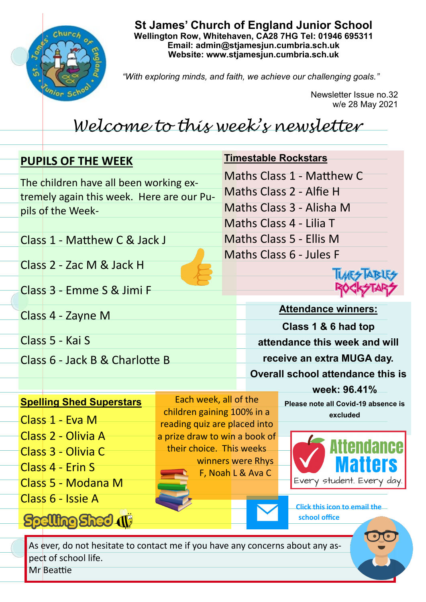

**St James' Church of England Junior School Wellington Row, Whitehaven, CA28 7HG Tel: 01946 695311 Email: admin@stjamesjun.cumbria.sch.uk Website: www.stjamesjun.cumbria.sch.uk**

*"With exploring minds, and faith, we achieve our challenging goals."*

Newsletter Issue no.32 w/e 28 May 2021

# *Welcome to this week's newsletter*

## **PUPILS OF THE WEEK**

The children have all been working extremely again this week. Here are our Pupils of the Week-

Maths Class 1 - Matthew C Maths Class 2 - Alfie H Maths Class 3 - Alisha M Maths Class 4 - Lilia T Maths Class 5 - Ellis M Maths Class 6 - Jules F

**Timestable Rockstars**

Class 1 - Matthew C & Jack J

Class 2 - Zac M & Jack H

Class 3 - Emme S & Jimi F

Class 4 - Zayne M

Class 5 - Kai S

Class 6 - Jack B & Charlotte B



**Attendance winners: Class 1 & 6 had top attendance this week and will receive an extra MUGA day. Overall school attendance this is** 

### **Spelling Shed Superstars**

Class 1 - Eva M

- Class 2 Olivia A
- Class 3 Olivia C
- Class 4 Erin S
- Class 5 Modana M

Class 6 - Issie A

**Spelling Shed (1)** 

Each week, all of the children gaining 100% in a reading quiz are placed into a prize draw to win a book of their choice. This weeks winners were Rhys F, Noah L & Ava C

**week: 96.41% Please note all Covid-19 absence is excluded** 



**Click this icon to email the school office**

As ever, do not hesitate to contact me if you have any concerns about any aspect of school life.

Mr Beattie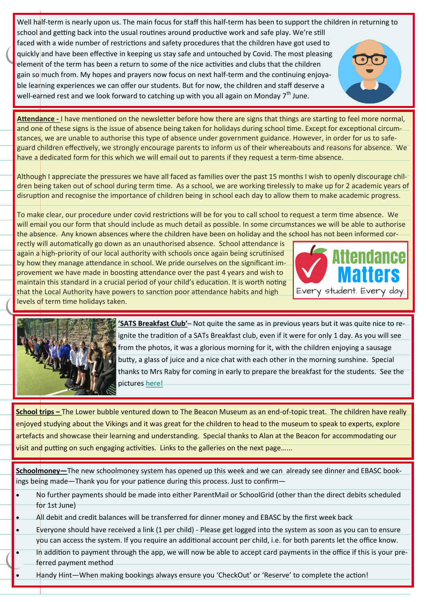Well half-term is nearly upon us. The main focus for staff this half-term has been to support the children in returning to school and getting back into the usual routines around productive work and safe play. We're still faced with a wide number of restrictions and safety procedures that the children have got used to quickly and have been effective in keeping us stay safe and untouched by Covid. The most pleasing element of the term has been a return to some of the nice activities and clubs that the children gain so much from. My hopes and prayers now focus on next half-term and the continuing enjoyable learning experiences we can offer our students. But for now, the children and staff deserve a well-earned rest and we look forward to catching up with you all again on Monday  $7<sup>th</sup>$  June.



Although I appreciate the pressures we have all faced as families over the past 15 months I wish to openly discourage children being taken out of school during term time. As a school, we are working tirelessly to make up for 2 academic years of disruption and recognise the importance of children being in school each day to allow them to make academic progress.

To make clear, our procedure under covid restrictions will be for you to call school to request a term time absence. We will email you our form that should include as much detail as possible. In some circumstances we will be able to authorise the absence. Any known absences where the children have been on holiday and the school has not been informed cor-

rectly will automatically go down as an unauthorised absence. School attendance is again a high-priority of our local authority with schools once again being scrutinised by how they manage attendance in school. We pride ourselves on the significant improvement we have made in boosting attendance over the past 4 years and wish to maintain this standard in a crucial period of your child's education. It is worth noting that the Local Authority have powers to sanction poor attendance habits and high levels of term time holidays taken.





**'SATS Breakfast Club'**– Not quite the same as in previous years but it was quite nice to reignite the tradition of a SATs Breakfast club, even if it were for only 1 day. As you will see from the photos, it was a glorious morning for it, with the children enjoying a sausage butty, a glass of juice and a nice chat with each other in the morning sunshine. Special thanks to Mrs Raby for coming in early to prepare the breakfast for the students. See the pictures [here!](http://www.stjamesjun.cumbria.sch.uk/work/sats-no-sats/65798)

**School trips –** The Lower bubble ventured down to The Beacon Museum as an end-of-topic treat. The children have really enjoyed studying about the Vikings and it was great for the children to head to the museum to speak to experts, explore artefacts and showcase their learning and understanding. Special thanks to Alan at the Beacon for accommodating our visit and putting on such engaging activities. Links to the galleries on the next page…...

**Schoolmoney—**The new schoolmoney system has opened up this week and we can already see dinner and EBASC bookings being made—Thank you for your patience during this process. Just to confirm—

- No further payments should be made into either ParentMail or SchoolGrid (other than the direct debits scheduled for 1st June)
- All debit and credit balances will be transferred for dinner money and EBASC by the first week back
- Everyone should have received a link (1 per child) Please get logged into the system as soon as you can to ensure you can access the system. If you require an additional account per child, i.e. for both parents let the office know.
- In addition to payment through the app, we will now be able to accept card payments in the office if this is your preferred payment method
- Handy Hint—When making bookings always ensure you 'CheckOut' or 'Reserve' to complete the action!